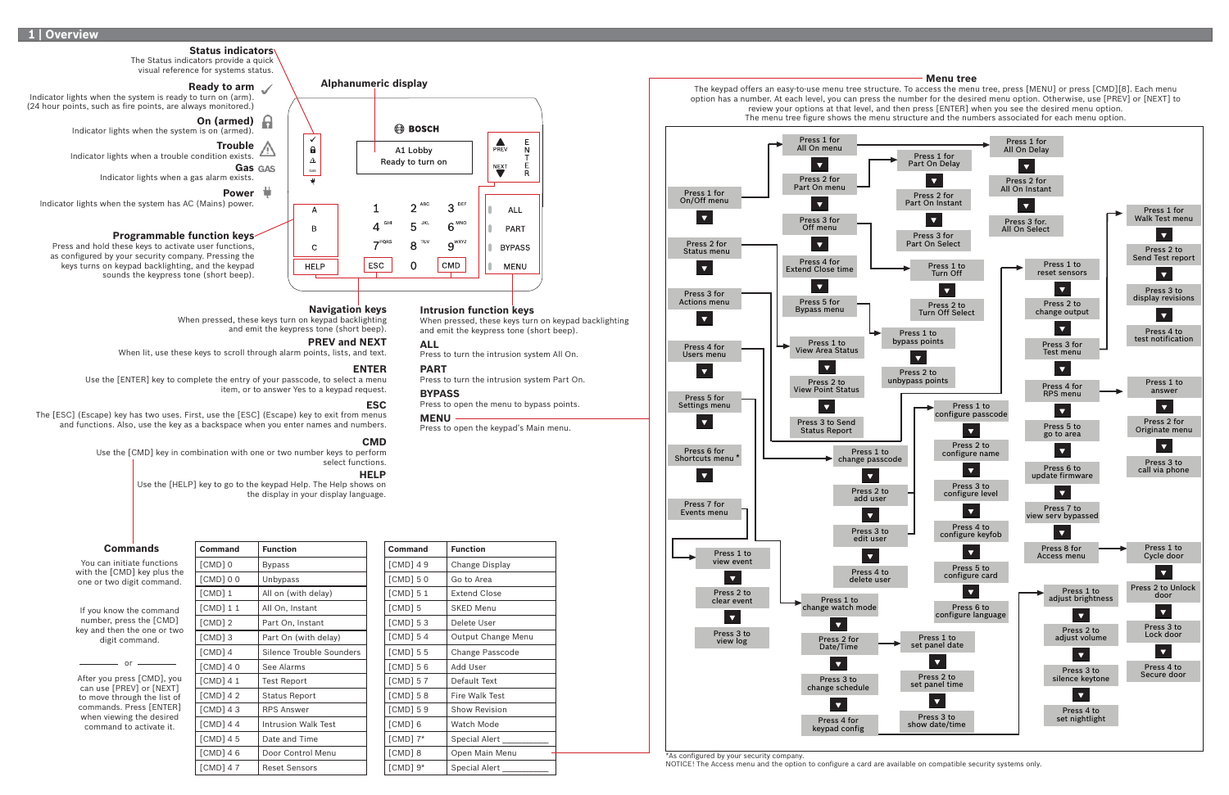| Command    | <b>Function</b>          |
|------------|--------------------------|
| [CMD]0     | <b>Bypass</b>            |
| [CMD]00    | Unbypass                 |
| [CMD]1     | All on (with delay)      |
| [CDD]11    | All On, Instant          |
| $[CMD]$ 2  | Part On, Instant         |
| [CMD] 3    | Part On (with delay)     |
| [CMD] 4    | Silence Trouble Sounders |
| $[CMD]$ 40 | See Alarms               |
| [CMD] 4 1  | <b>Test Report</b>       |
| [CMD] 4 2  | <b>Status Report</b>     |
| [CMD] 43   | <b>RPS Answer</b>        |
| [CMD] 4 4  | Intrusion Walk Test      |
| [CMD] 4 5  | Date and Time            |
| $[CMD]$ 46 | Door Control Menu        |
| [CMD] 4 7  | <b>Reset Sensors</b>     |

Indicator lights when the system is ready to turn on (arm). (24 hour points, such as fire points, are always monitored.)

| Command      | <b>Function</b>       |
|--------------|-----------------------|
| $[CMD]$ 49   | Change Display        |
| $[CMD]$ 50   | Go to Area            |
| $[CMD]$ 5 1  | <b>Extend Close</b>   |
| $[CMD]$ 5    | <b>SKED Menu</b>      |
| $[CMD]$ 53   | Delete User           |
| $[CMD]$ 54   | Output Change Menu    |
| $[CMD]$ 5 5  | Change Passcode       |
| [CMD] 56     | Add User              |
| $[CMD]$ 57   | Default Text          |
| $[CMD]$ 58   | <b>Fire Walk Test</b> |
| $[CMD]$ 59   | <b>Show Revision</b>  |
| [CMD] 6      | Watch Mode            |
| $[CMD]$ $7*$ | <b>Special Alert</b>  |
| $[CMD]$ 8    | Open Main Menu        |
| $[CMD]$ $9*$ | Special Alert         |

GAS

 $\color{red}$   $\color{red}$ 

 $\overline{A}$ 

 $\mathsf{B}$ 

 $\mathsf{C}$ 

**HELP** 

 $\checkmark$ 

 $\pmb{\Theta}$  $\triangle$ 

A1 Lobby Ready to turn on

 $2^{ABC}$ 

TUV 8

5 JKL

 $\overline{0}$ 

**BOSCH** 

# **Navigation keys**

When pressed, these keys turn on keypad backlighting and emit the keypress tone (short beep).

### **PREV and NEXT**

When lit, use these keys to scroll through alarm points, lists, and text.

#### **ESC**

 The [ESC] (Escape) key has two uses. First, use the [ESC] (Escape) key to exit from menus and functions. Also, use the key as a backspace when you enter names and numbers.



\*As configured by your security company.

NOTICE! The Access menu and the option to configure a card are available on compatible security systems only.

### **ENTER**

 Use the [ENTER] key to complete the entry of your passcode, to select a menu item, or to answer Yes to a keypad request.

### **CMD**

 Use the [CMD] key in combination with one or two number keys to perform select functions.

**Intrusion function keys**

 $3^{DEF}$ 

 $6$ <sup>MNO</sup>

 $\boldsymbol{g}^{\text{wxyz}}$ 

CMD

and emit the keypress tone (short beep).

 $\frac{E}{N}$ 

 $\frac{E}{R}$ 

ALL

PART

**BYPASS** 

MENU

 $\sum_{PREV}$ 

NEXT

**ALL**

Press to turn the intrusion system All On.

**BYPASS**

Press to open the menu to bypass points.

**PART**

Press to turn the intrusion system Part On.

**MENU**

Press to open the keypad's Main menu.

#### **Status indicators**

#### The Status indicators provide a quick visual reference for systems status.

**Ready to arm**

# **On (armed)**

Indicator lights when the system is on (armed).

**Gas**

Indicator lights when a gas alarm exists.

# **Power**

Indicator lights when the system has AC (Mains) power.

### **Programmable function keys**

Press and hold these keys to activate user functions, as configured by your security company. Pressing the keys turns on keypad backlighting, and the keypad sounds the keypress tone (short beep).

### **HELP**

 Use the [HELP] key to go to the keypad Help. The Help shows on the display in your display language.

**Trouble**Indicator lights when a trouble condition exists.

You can initiate functions with the [CMD] key plus the one or two digit command.

If you know the command number, press the [CMD] key and then the one or two digit command.

After you press [CMD], you can use [PREV] or [NEXT] to move through the list of commands. Press [ENTER] when viewing the desired command to activate it.

 $\alpha r =$ 

#### **Menu tree**

#### **Commands**

**Alphanumeric display**

 $\overline{\mathbf{1}}$ 

 $4^{$  GHI

 $7<sup>pqRS</sup>$ 

**ESC**